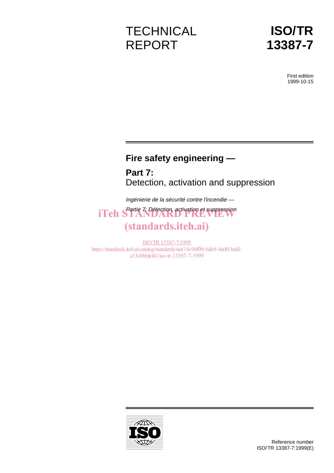# **TECHNICAL** REPORT



First edition 1999-10-15

# **Fire safety engineering —**

**Part 7:** Detection, activation and suppression

Ingénierie de la sécurité contre l'incendie —

Partie 7: Détection, activation et suppression iTeh STANDARD PREVIEW

# (standards.iteh.ai)

ISO/TR13387-7:1999 https://standards.iteh.ai/catalog/standards/sist/14c94f90-6de9-4a00-bafda13c0bbfcf41/iso-tr-13387-7-1999

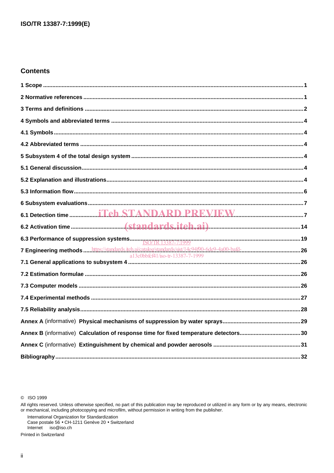# **Contents**

| 7 Engineering methods  https://standards.iteh.ai/catalog/standards/sist/14c94f90-6de9-4a00-bafd- |  |
|--------------------------------------------------------------------------------------------------|--|
|                                                                                                  |  |
|                                                                                                  |  |
|                                                                                                  |  |
|                                                                                                  |  |
|                                                                                                  |  |
|                                                                                                  |  |
|                                                                                                  |  |
|                                                                                                  |  |
|                                                                                                  |  |

C ISO 1999

All rights reserved. Unless otherwise specified, no part of this publication may be reproduced or utilized in any form or by any means, electronic<br>or mechanical, including photocopying and microfilm, without permission in

International Organization for Standardization<br>Case postale 56 • CH-1211 Genève 20 • Switzerland Internet iso@iso.ch

Printed in Switzerland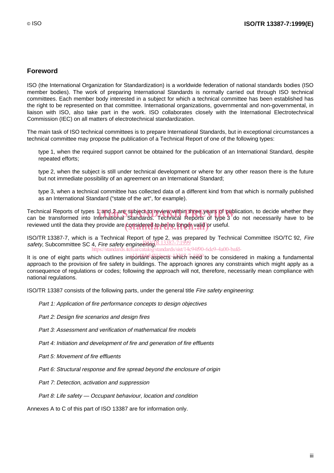# **Foreword**

ISO (the International Organization for Standardization) is a worldwide federation of national standards bodies (ISO member bodies). The work of preparing International Standards is normally carried out through ISO technical committees. Each member body interested in a subject for which a technical committee has been established has the right to be represented on that committee. International organizations, governmental and non-governmental, in liaison with ISO, also take part in the work. ISO collaborates closely with the International Electrotechnical Commission (IEC) on all matters of electrotechnical standardization.

The main task of ISO technical committees is to prepare International Standards, but in exceptional circumstances a technical committee may propose the publication of a Technical Report of one of the following types:

- type 1, when the required support cannot be obtained for the publication of an International Standard, despite repeated efforts;
- type 2, when the subject is still under technical development or where for any other reason there is the future but not immediate possibility of an agreement on an International Standard;
- type 3, when a technical committee has collected data of a different kind from that which is normally published as an International Standard ("state of the art", for example).

Technical Reports of types 1 and 2 are subject to review within three years of publication, to decide whether they<br>can be transformed into International Standards. Technical Reports of type 3 do not necessarily have to be can be transformed into International Standards. Technical Reports of type 3 do not necessarily have to be reviewed until the data they provide are considered to be no longer valid or useful.

ISO/TR 13387-7, which is a Technical Report of type 2, was prepared by Technical Committee ISO/TC 92, Fire safety, Subcommittee SC 4, Fire safety engineering R 13387-7:1999 standards/sist/14c94f90-6de9-4a00-bafd-

It is one of eight parts which outlines important aspects which need to be considered in making a fundamental approach to the provision of fire safety in buildings. The approach ignores any constraints which might apply as a consequence of regulations or codes; following the approach will not, therefore, necessarily mean compliance with national regulations.

ISO/TR 13387 consists of the following parts, under the general title Fire safety engineering:

- Part 1: Application of fire performance concepts to design objectives
- Part 2: Design fire scenarios and design fires
- Part 3: Assessment and verification of mathematical fire models
- Part 4: Initiation and development of fire and generation of fire effluents
- Part 5: Movement of fire effluents
- $-$  Part 6: Structural response and fire spread beyond the enclosure of origin
- Part 7: Detection, activation and suppression
- $-$  Part 8: Life safety  $-$  Occupant behaviour, location and condition

Annexes A to C of this part of ISO 13387 are for information only.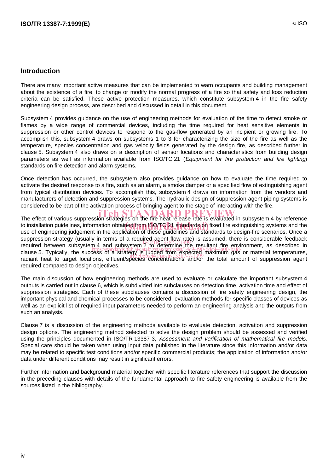# **Introduction**

There are many important active measures that can be implemented to warn occupants and building management about the existence of a fire, to change or modify the normal progress of a fire so that safety and loss reduction criteria can be satisfied. These active protection measures, which constitute subsystem 4 in the fire safety engineering design process, are described and discussed in detail in this document.

Subsystem 4 provides guidance on the use of engineering methods for evaluation of the time to detect smoke or flames by a wide range of commercial devices, including the time required for heat sensitive elements in suppression or other control devices to respond to the gas-flow generated by an incipient or growing fire. To accomplish this, subsystem 4 draws on subsystems 1 to 3 for characterizing the size of the fire as well as the temperature, species concentration and gas velocity fields generated by the design fire, as described further in clause 5. Subsystem 4 also draws on a description of sensor locations and characteristics from building design parameters as well as information available from ISO/TC 21 (Equipment for fire protection and fire fighting) standards on fire detection and alarm systems.

Once detection has occurred, the subsystem also provides guidance on how to evaluate the time required to activate the desired response to a fire, such as an alarm, a smoke damper or a specified flow of extinguishing agent from typical distribution devices. To accomplish this, subsystem 4 draws on information from the vendors and manufacturers of detection and suppression systems. The hydraulic design of suppression agent piping systems is considered to be part of the activation process of bringing agent to the stage of interacting with the fire.

The effect of various suppression strategies on the fire heat release rate is evaluated in subsystem 4 by reference to installation guidelines, information obtained from ISO/TC 21 standards on fixed fire extinguishing systems and the<br>use of engineering judgement in the application of these guidelines and standards to design fire scenari use of engineering judgement in the application of these guidelines and standards to design-fire scenarios. Once a suppression strategy (usually in terms of a required agent flow rate) is assumed, there is considerable feedback suppression strategy (asially in terms of a required above gay, gay) is assumed, there is considerable recuback<br>Integried between subsystem 4 and subsystem 2, to determine the resultant fire environment, as described in required between subsystem and subsystem  $\frac{1}{2}$  is detailed from expected maximum gas or material temperatures,<br>clause 5. Typically, the success of a strategy is judged from expected maximum gas or material temperatures radiant heat to target locations, effluent/species concentrations and/or the total amount of suppression agent required compared to design objectives.

The main discussion of how engineering methods are used to evaluate or calculate the important subsystem 4 outputs is carried out in clause 6, which is subdivided into subclauses on detection time, activation time and effect of suppression strategies. Each of these subclauses contains a discussion of fire safety engineering design, the important physical and chemical processes to be considered, evaluation methods for specific classes of devices as well as an explicit list of required input parameters needed to perform an engineering analysis and the outputs from such an analysis.

Clause 7 is a discussion of the engineering methods available to evaluate detection, activation and suppression design options. The engineering method selected to solve the design problem should be assessed and verified using the principles documented in ISO/TR 13387-3, Assessment and verification of mathematical fire models. Special care should be taken when using input data published in the literature since this information and/or data may be related to specific test conditions and/or specific commercial products; the application of information and/or data under different conditions may result in significant errors.

Further information and background material together with specific literature references that support the discussion in the preceding clauses with details of the fundamental approach to fire safety engineering is available from the sources listed in the bibliography.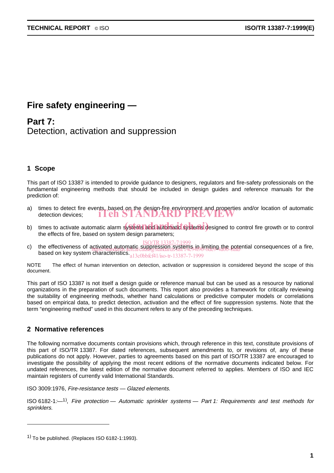# **Fire safety engineering —**

**Part 7:** Detection, activation and suppression

# **1 Scope**

This part of ISO 13387 is intended to provide guidance to designers, regulators and fire-safety professionals on the fundamental engineering methods that should be included in design guides and reference manuals for the prediction of:

- a) times to detect fire events, based on the design-fire environment and properties and/or location of automatic detection devices; iTeh STANDARD PREVIEW
- b) times to activate automatic alarm systems and automatic systems designed to control fire growth or to control the effects of fire, based on system design parameters;
- <sub>ISO/TR</sub> 13387-7:1999<br>c) the effectiveness of activated automatic suppression systems in limiting the potential consequences of a fire, the enectiveness of activated automateur. suppression, systems, it, in inductional code.<br>based on key system characteristics...12.0bb6cf1/co.tr.13287.7.1000 a13c0bbfcf41/iso-tr-13387-7-1999

NOTE The effect of human intervention on detection, activation or suppression is considered beyond the scope of this document.

This part of ISO 13387 is not itself a design guide or reference manual but can be used as a resource by national organizations in the preparation of such documents. This report also provides a framework for critically reviewing the suitability of engineering methods, whether hand calculations or predictive computer models or correlations based on empirical data, to predict detection, activation and the effect of fire suppression systems. Note that the term "engineering method" used in this document refers to any of the preceding techniques.

# **2 Normative references**

-

The following normative documents contain provisions which, through reference in this text, constitute provisions of this part of ISO/TR 13387. For dated references, subsequent amendments to, or revisions of, any of these publications do not apply. However, parties to agreements based on this part of ISO/TR 13387 are encouraged to investigate the possibility of applying the most recent editions of the normative documents indicated below. For undated references, the latest edition of the normative document referred to applies. Members of ISO and IEC maintain registers of currently valid International Standards.

ISO 3009:1976, Fire-resistance tests — Glazed elements.

ISO 6182-1: $-1$ <sup>1</sup>), Fire protection – Automatic sprinkler systems – Part 1: Requirements and test methods for sprinklers.

 $1)$  To be published. (Replaces ISO 6182-1:1993).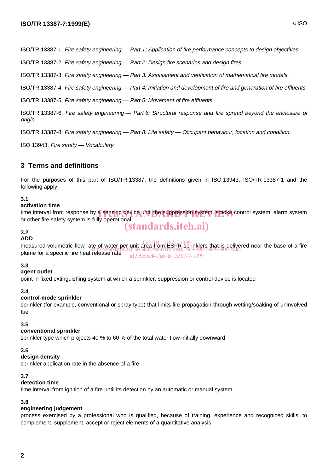ISO/TR 13387-1, Fire safety engineering — Part 1: Application of fire performance concepts to design objectives.

ISO/TR 13387-2, Fire safety engineering — Part 2: Design fire scenarios and design fires.

ISO/TR 13387-3, Fire safety engineering — Part 3: Assessment and verification of mathematical fire models.

ISO/TR 13387-4, Fire safety engineering — Part 4: Initiation and development of fire and generation of fire effluents.

ISO/TR 13387-5, Fire safety engineering — Part 5: Movement of fire effluents.

ISO/TR 13387-6, Fire safety engineering — Part 6: Structural response and fire spread beyond the enclosure of origin.

ISO/TR 13387-8, Fire safety engineering — Part 8: Life safety — Occupant behaviour, location and condition.

ISO 13943, Fire safety — Vocabulary.

# **3 Terms and definitions**

For the purposes of this part of ISO/TR 13387, the definitions given in ISO 13943, ISO/TR 13387-1 and the following apply.

# **3.1**

# **activation time**

time interval from response by a sensing device until the suppression system, smoke control system, alarm system<br>or other fire safety system is fully operational or other fire safety system is fully operational

# (standards.iteh.ai)

#### **3.2 ADD**

ABB<br>measured volumetric flow rate of water per unit area from ESFR sprinklers that is delivered near the base of a fire plume for a specific fire heat release rate https://standards.iteh.ai/catalog/standards/sist/14c94f90-6de9-4a00-bafda13c0bbfcf41/iso-tr-13387-7-1999

# **3.3**

### **agent outlet**

point in fixed extinguishing system at which a sprinkler, suppression or control device is located

### **3.4**

### **control-mode sprinkler**

sprinkler (for example, conventional or spray type) that limits fire propagation through wetting/soaking of uninvolved fuel

### **3.5**

### **conventional sprinkler**

sprinkler type which projects 40 % to 60 % of the total water flow initially downward

### **3.6**

### **design density**

sprinkler application rate in the absence of a fire

# **3.7**

# **detection time**

time interval from ignition of a fire until its detection by an automatic or manual system

# **3.8**

# **engineering judgement**

process exercised by a professional who is qualified, because of training, experience and recognized skills, to complement, supplement, accept or reject elements of a quantitative analysis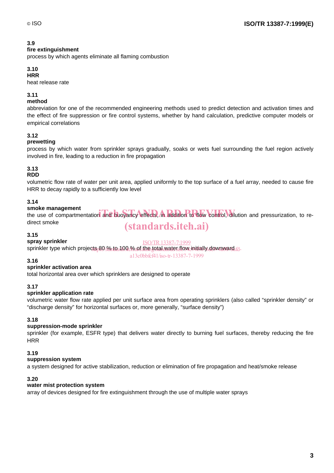# **3.9**

### **fire extinguishment**

process by which agents eliminate all flaming combustion

# **3.10**

**HRR**

heat release rate

# **3.11**

# **method**

abbreviation for one of the recommended engineering methods used to predict detection and activation times and the effect of fire suppression or fire control systems, whether by hand calculation, predictive computer models or empirical correlations

# **3.12**

# **prewetting**

process by which water from sprinkler sprays gradually, soaks or wets fuel surrounding the fuel region actively involved in fire, leading to a reduction in fire propagation

# **3.13**

# **RDD**

volumetric flow rate of water per unit area, applied uniformly to the top surface of a fuel array, needed to cause fire HRR to decay rapidly to a sufficiently low level

# **3.14**

# **smoke management**

smoke management<br>the use of compartmentation and buoyancy effects, in addition to flow control, dilution and pressurization, to redirect smoke

# (standards.iteh.ai)

### **3.15**

### **spray sprinkler**

ISO/TR13387-7:1999

sprinkler type which projects<sub>P</sub>80 <u>% to 100 % of the total water f</u>low initially downward <sub>fd-</sub> a13c0bbfcf41/iso-tr-13387-7-1999

### **3.16**

### **sprinkler activation area**

total horizontal area over which sprinklers are designed to operate

# **3.17**

### **sprinkler application rate**

volumetric water flow rate applied per unit surface area from operating sprinklers (also called "sprinkler density" or "discharge density" for horizontal surfaces or, more generally, "surface density")

### **3.18**

# **suppression-mode sprinkler**

sprinkler (for example, ESFR type) that delivers water directly to burning fuel surfaces, thereby reducing the fire **HRR** 

# **3.19**

### **suppression system**

a system designed for active stabilization, reduction or elimination of fire propagation and heat/smoke release

### **3.20**

# **water mist protection system**

array of devices designed for fire extinguishment through the use of multiple water sprays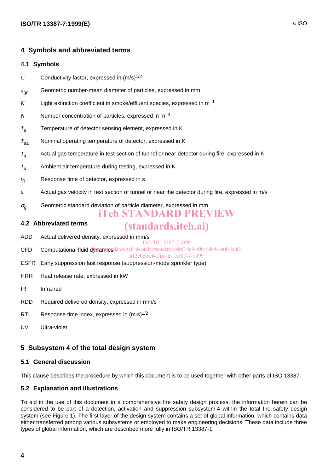# **4 Symbols and abbreviated terms**

### **4.1 Symbols**

- *C* Conductivity factor, expressed in  $(m/s)^{1/2}$
- *d*gn Geometric number-mean diameter of particles, expressed in mm
- $K$  Light extinction coefficient in smoke/effluent species, expressed in  $m^{-1}$
- $N$  Number concentration of particles, expressed in  $m^{-3}$
- *T*<sup>e</sup> Temperature of detector sensing element, expressed in K
- *T*ea Nominal operating temperature of detector, expressed in K
- *T*<sup>g</sup> Actual gas temperature in test section of tunnel or near detector during fire, expressed in K
- *T*<sup>u</sup> Ambient air temperature during testing, expressed in K
- $t_{\mathsf{R}}$ Response time of detector, expressed in s
- *u* Actual gas velocity in test section of tunnel or near the detector during fire, expressed in m/s
- $\sigma_{\alpha}$  Geometric standard deviation of particle diameter, expressed in mm
	- iTeh STANDARD PREVIEW

# **4.2 Abbreviated terms**

# (standards.iteh.ai)

- ADD Actual delivered density, expressed in mm/s
- CFD Computational fluid dynamicsdards.iteh.ai/catalog/standards/sist/14c94f90-6de9-4a00-bafd-ISO/TR13387-7:1999
	- a13c0bbfcf41/iso-tr-13387-7-1999
- ESFR Early suppression fast response (suppression-mode sprinkler type)
- HRR Heat release rate, expressed in kW
- IR Infra-red
- RDD Required delivered density, expressed in mm/s
- RTI Response time index, expressed in  $(m·s)^{1/2}$
- UV Ultra-violet

# **5 Subsystem 4 of the total design system**

### **5.1 General discussion**

This clause describes the procedure by which this document is to be used together with other parts of ISO 13387.

### **5.2 Explanation and illustrations**

To aid in the use of this document in a comprehensive fire safety design process, the information herein can be considered to be part of a detection, activation and suppression subsystem 4 within the total fire safety design system (see Figure 1). The first layer of the design system contains a set of global information, which contains data either transferred among various subsystems or employed to make engineering decisions. These data include three types of global information, which are described more fully in ISO/TR 13387-1: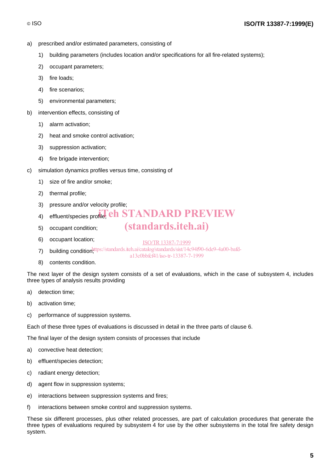- a) prescribed and/or estimated parameters, consisting of
	- 1) building parameters (includes location and/or specifications for all fire-related systems);
	- 2) occupant parameters;
	- 3) fire loads;
	- 4) fire scenarios;
	- 5) environmental parameters;
- b) intervention effects, consisting of
	- 1) alarm activation;
	- 2) heat and smoke control activation;
	- 3) suppression activation;
	- 4) fire brigade intervention;
- c) simulation dynamics profiles versus time, consisting of
	- 1) size of fire and/or smoke;
	- 2) thermal profile;
	- 3) pressure and/or velocity profile;
	- 4) effluent/species profile; **eh STANDARD PREVIEW**
	- 5) occupant condition;
	- 6) occupant location;
- ISO/TR13387-7:1999

a13c0bbfcf41/iso-tr-13387-7-1999

(standards.iteh.ai)

- 7) building condition<sup>1</sup> ttps://standards.iteh.ai/catalog/standards/sist/14c94f90-6de9-4a00-bafd-
- 8) contents condition.

The next layer of the design system consists of a set of evaluations, which in the case of subsystem 4, includes three types of analysis results providing

- a) detection time;
- b) activation time;
- c) performance of suppression systems.

Each of these three types of evaluations is discussed in detail in the three parts of clause 6.

The final layer of the design system consists of processes that include

- a) convective heat detection;
- b) effluent/species detection;
- c) radiant energy detection;
- d) agent flow in suppression systems;
- e) interactions between suppression systems and fires;
- f) interactions between smoke control and suppression systems.

These six different processes, plus other related processes, are part of calculation procedures that generate the three types of evaluations required by subsystem 4 for use by the other subsystems in the total fire safety design system.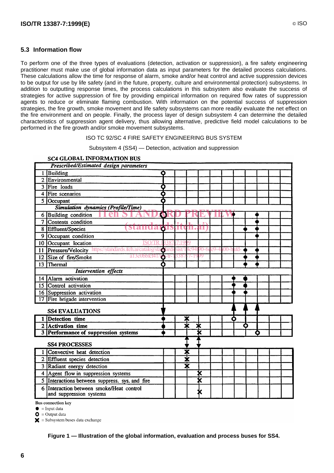# **5.3 Information flow**

To perform one of the three types of evaluations (detection, activation or suppression), a fire safety engineering practitioner must make use of global information data as input parameters for the detailed process calculations. These calculations allow the time for response of alarm, smoke and/or heat control and active suppression devices to be output for use by life safety (and in the future, property, culture and environmental protection) subsystems. In addition to outputting response times, the process calculations in this subsystem also evaluate the success of strategies for active suppression of fire by providing empirical information on required flow rates of suppression agents to reduce or eliminate flaming combustion. With information on the potential success of suppression strategies, the fire growth, smoke movement and life safety subsystems can more readily evaluate the net effect on the fire environment and on people. Finally, the process layer of design subsystem 4 can determine the detailed characteristics of suppression agent delivery, thus allowing alternative, predictive field model calculations to be performed in the fire growth and/or smoke movement subsystems.

#### ISO TC 92/SC 4 FIRE SAFETY ENGINEERING BUS SYSTEM

Subsystem 4 (SS4) — Detection, activation and suppression

|                                           | Prescribed/Estimated design parameters                                                                       |  |
|-------------------------------------------|--------------------------------------------------------------------------------------------------------------|--|
|                                           | Building<br>o                                                                                                |  |
|                                           | 2 Environmental                                                                                              |  |
|                                           | 3 Fire loads<br>n                                                                                            |  |
|                                           | 4 Fire scenarios                                                                                             |  |
|                                           | 5 Occupant                                                                                                   |  |
| <b>Simulation</b> dynamics (Profile/Time) |                                                                                                              |  |
|                                           | 6 Building condition<br>W                                                                                    |  |
|                                           | 7 Contents condition                                                                                         |  |
|                                           | <b>QISHU</b><br>JU.<br>8 Effluent/Species<br>u                                                               |  |
| 9                                         | Occupant condition                                                                                           |  |
|                                           | 10 Occupant location                                                                                         |  |
|                                           | 90-6de9-4a00-bafd-<br>11 Pressure/Velocity https://standards.iteh.ai/catalog/sta<br>4c941<br>toards<br>sist/ |  |
|                                           | a13c0bb6c41/a<br>3387<br>99<br>12 Size of fire/Smoke<br>7-19                                                 |  |
| 13 <sup>°</sup>                           | Thermal                                                                                                      |  |
| <b>Intervention</b> effects               |                                                                                                              |  |
| 14                                        | Alarm activation                                                                                             |  |
|                                           | 15 Control activation                                                                                        |  |
|                                           | 16 Suppression activation                                                                                    |  |
|                                           | 17 Fire brigade intervention                                                                                 |  |
| <b>SS4 EVALUATIONS</b>                    |                                                                                                              |  |
|                                           | 1 Detection time<br>≭<br>О                                                                                   |  |
|                                           | Ж<br>2 Activation time<br>≭<br>О                                                                             |  |
|                                           | <b>3 Performance of suppression systems</b><br>X                                                             |  |
|                                           | <b>SS4 PROCESSES</b>                                                                                         |  |
|                                           | ≭<br>1 Convective heat detection                                                                             |  |
|                                           | ₮<br>2 Effluent species detection                                                                            |  |
|                                           | Т<br>3 Radiant energy detection                                                                              |  |
|                                           | X<br>4 Agent flow in suppression systems                                                                     |  |
|                                           | 5 Interactions between suppress. sys. and fire                                                               |  |
|                                           | 6 Interaction between smoke/Heat control<br>and suppression systems                                          |  |

# **SC4 GLOBAL INFORMATION BUS**

**Bus connection key** 

 $\bullet$  = Input data

 $\bullet$  = Output data

 $\mathbf{\times}$  = Subsystem buses data exchange

**Figure 1 — Illustration of the global information, evaluation and process buses for SS4.**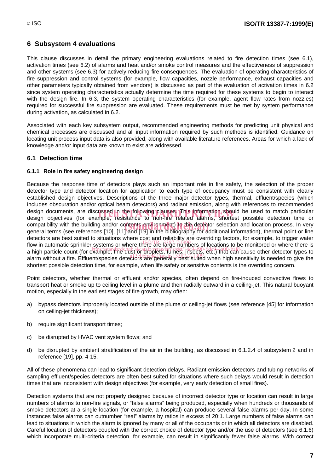# **6 Subsystem 4 evaluations**

This clause discusses in detail the primary engineering evaluations related to fire detection times (see 6.1), activation times (see 6.2) of alarms and heat and/or smoke control measures and the effectiveness of suppression and other systems (see 6.3) for actively reducing fire consequences. The evaluation of operating characteristics of fire suppression and control systems (for example, flow capacities, nozzle performance, exhaust capacities and other parameters typically obtained from vendors) is discussed as part of the evaluation of activation times in 6.2 since system operating characteristics actually determine the time required for these systems to begin to interact with the design fire. In 6.3, the system operating characteristics (for example, agent flow rates from nozzles) required for successful fire suppression are evaluated. These requirements must be met by system performance during activation, as calculated in 6.2.

Associated with each key subsystem output, recommended engineering methods for predicting unit physical and chemical processes are discussed and all input information required by such methods is identified. Guidance on locating unit process input data is also provided, along with available literature references. Areas for which a lack of knowledge and/or input data are known to exist are addressed.

# **6.1 Detection time**

# **6.1.1 Role in fire safety engineering design**

Because the response time of detectors plays such an important role in fire safety, the selection of the proper detector type and detector location for application to each type of occupancy must be consistent with clearly established design objectives. Descriptions of the three major detector types, thermal, effluent/species (which includes obscuration and/or optical beam detectors) and radiant emission, along with references to recommended design documents, are discussed in the following clauses. This information should be used to match particular<br>design obiectives (for example, resistance to non-fire related alarms, shortest possible detection time or design objectives (for example, resistance to non-fire related alarms, shortest possible detection time or compatibility with the building and/or contents environment) to the detector selection and location process. In very<br>general terms (see references [10], [11] and [19] in the bibliography for additional information), therma general terms (see references [10], [11] and [19] in the bibliography for additional information), thermal point or line detectors are best suited to situations where cost and reliability are overriding factors, for example, to trigger water flow in automatic sprinkler systems or where there are large numbers of locations to be monitored or where there is a high particle count (for example, fine dust or droplets, fumes, insects, etc.) that can cause other detector types to a high particle seem for stample, and deeper and the programs are good, such that can sause since detector types to shortest possible detection time, for example, when life safety or sensitive contents is the overriding concern.

Point detectors, whether thermal or effluent and/or species, often depend on fire-induced convective flows to transport heat or smoke up to ceiling level in a plume and then radially outward in a ceiling-jet. This natural buoyant motion, especially in the earliest stages of fire growth, may often:

- a) bypass detectors improperly located outside of the plume or ceiling-jet flows (see reference [45] for information on ceiling-jet thickness);
- b) require significant transport times;
- c) be disrupted by HVAC vent system flows; and
- d) be disrupted by ambient stratification of the air in the building, as discussed in 6.1.2.4 of subsystem 2 and in reference [19], pp. 4-15.

All of these phenomena can lead to significant detection delays. Radiant emission detectors and tubing networks of sampling effluent/species detectors are often best suited for situations where such delays would result in detection times that are inconsistent with design objectives (for example, very early detection of small fires).

Detection systems that are not properly designed because of incorrect detector type or location can result in large numbers of alarms to non-fire signals, or "false alarms" being produced, especially when hundreds or thousands of smoke detectors at a single location (for example, a hospital) can produce several false alarms per day. In some instances false alarms can outnumber "real" alarms by ratios in excess of 20:1. Large numbers of false alarms can lead to situations in which the alarm is ignored by many or all of the occupants or in which all detectors are disabled. Careful location of detectors coupled with the correct choice of detector type and/or the use of detectors (see 6.1.6) which incorporate multi-criteria detection, for example, can result in significantly fewer false alarms. With correct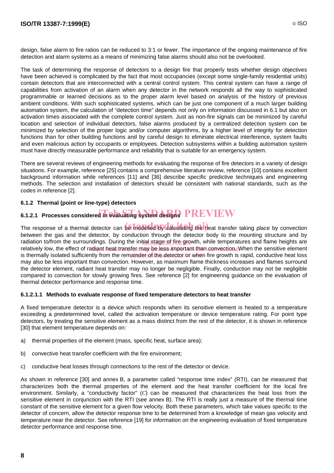The task of determining the response of detectors to a design fire that properly tests whether design objectives have been achieved is complicated by the fact that most occupancies (except some single-family residential units) contain detectors that are interconnected with a central control system. This central system can have a range of capabilities from activation of an alarm when any detector in the network responds all the way to sophisticated programmable or learned decisions as to the proper alarm level based on analysis of the history of previous ambient conditions. With such sophisticated systems, which can be just one component of a much larger building automation system, the calculation of "detection time" depends not only on information discussed in 6.1 but also on activation times associated with the complete control system. Just as non-fire signals can be minimized by careful location and selection of individual detectors, false alarms produced by a centralized detection system can be minimized by selection of the proper logic and/or computer algorithms, by a higher level of integrity for detection functions than for other building functions and by careful design to eliminate electrical interference, system faults and even malicious action by occupants or employees. Detection subsystems within a building automation system must have directly measurable performance and reliability that is suitable for an emergency system.

There are several reviews of engineering methods for evaluating the response of fire detectors in a variety of design situations. For example, reference [25] contains a comprehensive literature review, reference [10] contains excellent background information while references [11] and [36] describe specific predictive techniques and engineering methods. The selection and installation of detectors should be consistent with national standards, such as the codes in reference [2].

# **6.1.2 Thermal (point or line-type) detectors**

# **6.1.2.1 Processes considered in evaluating system designs PREVIEW**

The response of a thermal detector can be modelled by calculating the heat transfer taking place by convection between the gas and the detector, by conduction through the detector body to the mounting structure and by radiation to/from the surroundings. During the initial stage of fire growth, while temperatures and flame heights are relatively low, the effect of radiant/heat transfer/may be less important than convection. When the sensitive element is thermally isolated sufficiently from the remainden of the detector or when fire growth is rapid, conductive heat loss may also be less important than convection. However, as maximum flame thickness increases and flames surround the detector element, radiant heat transfer may no longer be negligible. Finally, conduction may not be negligible compared to convection for slowly growing fires. See reference [2] for engineering guidance on the evaluation of thermal detector performance and response time.

### **6.1.2.1.1 Methods to evaluate response of fixed temperature detectors to heat transfer**

A fixed temperature detector is a device which responds when its sensitive element is heated to a temperature exceeding a predetermined level, called the activation temperature or device temperature rating. For point type detectors, by treating the sensitive element as a mass distinct from the rest of the detector, it is shown in reference [30] that element temperature depends on:

- a) thermal properties of the element (mass, specific heat, surface area);
- b) convective heat transfer coefficient with the fire environment;
- c) conductive heat losses through connections to the rest of the detector or device.

As shown in reference [30] and annex B, a parameter called "response time index" (RTI), can be measured that characterizes both the thermal properties of the element and the heat transfer coefficient for the local fire environment. Similarly, a "conductivity factor" (*C*) can be measured that characterizes the heat loss from the sensitive element in conjunction with the RTI (see annex B). The RTI is really just a measure of the thermal time constant of the sensitive element for a given flow velocity. Both these parameters, which take values specific to the detector of concern, allow the detector response time to be determined from a knowledge of mean gas velocity and temperature near the detector. See reference [19] for information on the engineering evaluation of fixed temperature detector performance and response time.